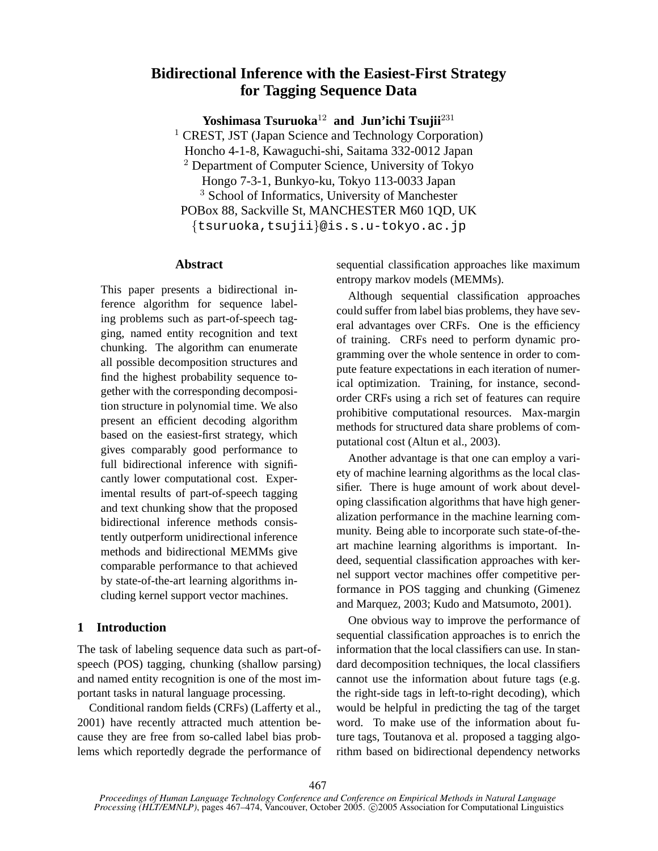# **Bidirectional Inference with the Easiest-First Strategy for Tagging Sequence Data**

**Yoshimasa Tsuruoka**<sup>12</sup> **and Jun'ichi Tsujii**<sup>231</sup>

<sup>1</sup> CREST, JST (Japan Science and Technology Corporation) Honcho 4-1-8, Kawaguchi-shi, Saitama 332-0012 Japan <sup>2</sup> Department of Computer Science, University of Tokyo Hongo 7-3-1, Bunkyo-ku, Tokyo 113-0033 Japan <sup>3</sup> School of Informatics, University of Manchester POBox 88, Sackville St, MANCHESTER M60 1QD, UK {tsuruoka,tsujii}@is.s.u-tokyo.ac.jp

## **Abstract**

This paper presents a bidirectional inference algorithm for sequence labeling problems such as part-of-speech tagging, named entity recognition and text chunking. The algorithm can enumerate all possible decomposition structures and find the highest probability sequence together with the corresponding decomposition structure in polynomial time. We also present an efficient decoding algorithm based on the easiest-first strategy, which gives comparably good performance to full bidirectional inference with significantly lower computational cost. Experimental results of part-of-speech tagging and text chunking show that the proposed bidirectional inference methods consistently outperform unidirectional inference methods and bidirectional MEMMs give comparable performance to that achieved by state-of-the-art learning algorithms including kernel support vector machines.

## **1 Introduction**

The task of labeling sequence data such as part-ofspeech (POS) tagging, chunking (shallow parsing) and named entity recognition is one of the most important tasks in natural language processing.

Conditional random fields (CRFs) (Lafferty et al., 2001) have recently attracted much attention because they are free from so-called label bias problems which reportedly degrade the performance of sequential classification approaches like maximum entropy markov models (MEMMs).

Although sequential classification approaches could suffer from label bias problems, they have several advantages over CRFs. One is the efficiency of training. CRFs need to perform dynamic programming over the whole sentence in order to compute feature expectations in each iteration of numerical optimization. Training, for instance, secondorder CRFs using a rich set of features can require prohibitive computational resources. Max-margin methods for structured data share problems of computational cost (Altun et al., 2003).

Another advantage is that one can employ a variety of machine learning algorithms as the local classifier. There is huge amount of work about developing classification algorithms that have high generalization performance in the machine learning community. Being able to incorporate such state-of-theart machine learning algorithms is important. Indeed, sequential classification approaches with kernel support vector machines offer competitive performance in POS tagging and chunking (Gimenez and Marquez, 2003; Kudo and Matsumoto, 2001).

One obvious way to improve the performance of sequential classification approaches is to enrich the information that the local classifiers can use. In standard decomposition techniques, the local classifiers cannot use the information about future tags (e.g. the right-side tags in left-to-right decoding), which would be helpful in predicting the tag of the target word. To make use of the information about future tags, Toutanova et al. proposed a tagging algorithm based on bidirectional dependency networks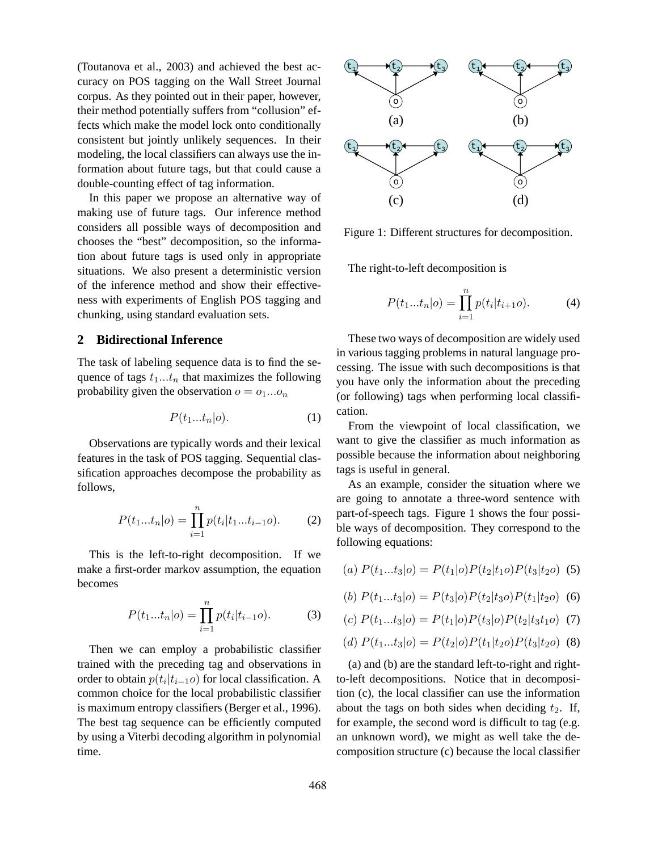(Toutanova et al., 2003) and achieved the best accuracy on POS tagging on the Wall Street Journal corpus. As they pointed out in their paper, however, their method potentially suffers from "collusion" effects which make the model lock onto conditionally consistent but jointly unlikely sequences. In their modeling, the local classifiers can always use the information about future tags, but that could cause a double-counting effect of tag information.

In this paper we propose an alternative way of making use of future tags. Our inference method considers all possible ways of decomposition and chooses the "best" decomposition, so the information about future tags is used only in appropriate situations. We also present a deterministic version of the inference method and show their effectiveness with experiments of English POS tagging and chunking, using standard evaluation sets.

#### **2 Bidirectional Inference**

The task of labeling sequence data is to find the sequence of tags  $t_1...t_n$  that maximizes the following probability given the observation  $o = o_1...o_n$ 

$$
P(t_1...t_n|o). \t\t(1)
$$

Observations are typically words and their lexical features in the task of POS tagging. Sequential classification approaches decompose the probability as follows,

$$
P(t_1...t_n|o) = \prod_{i=1}^n p(t_i|t_1...t_{i-1}o). \tag{2}
$$

This is the left-to-right decomposition. If we make a first-order markov assumption, the equation becomes

$$
P(t_1...t_n|o) = \prod_{i=1}^n p(t_i|t_{i-1}o).
$$
 (3)

Then we can employ a probabilistic classifier trained with the preceding tag and observations in order to obtain  $p(t_i|t_{i-1}o)$  for local classification. A common choice for the local probabilistic classifier is maximum entropy classifiers (Berger et al., 1996). The best tag sequence can be efficiently computed by using a Viterbi decoding algorithm in polynomial time.



Figure 1: Different structures for decomposition.

The right-to-left decomposition is

$$
P(t_1...t_n|o) = \prod_{i=1}^n p(t_i|t_{i+1}o).
$$
 (4)

These two ways of decomposition are widely used in various tagging problems in natural language processing. The issue with such decompositions is that you have only the information about the preceding (or following) tags when performing local classification.

From the viewpoint of local classification, we want to give the classifier as much information as possible because the information about neighboring tags is useful in general.

As an example, consider the situation where we are going to annotate a three-word sentence with part-of-speech tags. Figure 1 shows the four possible ways of decomposition. They correspond to the following equations:

(a) 
$$
P(t_1...t_3|o) = P(t_1|o)P(t_2|t_1o)P(t_3|t_2o)
$$
 (5)

(b) 
$$
P(t_1...t_3|o) = P(t_3|o)P(t_2|t_3o)P(t_1|t_2o)
$$
 (6)

$$
(c) P(t_1...t_3|o) = P(t_1|o)P(t_3|o)P(t_2|t_3t_1o) \tag{7}
$$

(d) 
$$
P(t_1...t_3|o) = P(t_2|o)P(t_1|t_2o)P(t_3|t_2o)
$$
 (8)

(a) and (b) are the standard left-to-right and rightto-left decompositions. Notice that in decomposition (c), the local classifier can use the information about the tags on both sides when deciding  $t_2$ . If, for example, the second word is difficult to tag (e.g. an unknown word), we might as well take the decomposition structure (c) because the local classifier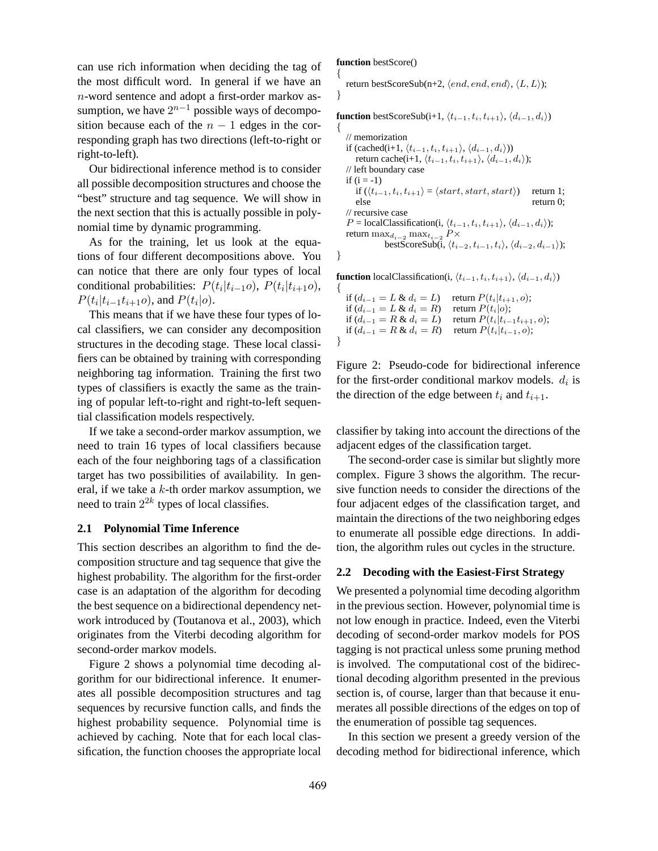can use rich information when deciding the tag of the most difficult word. In general if we have an n-word sentence and adopt a first-order markov assumption, we have  $2^{n-1}$  possible ways of decomposition because each of the  $n - 1$  edges in the corresponding graph has two directions (left-to-right or right-to-left).

Our bidirectional inference method is to consider all possible decomposition structures and choose the "best" structure and tag sequence. We will show in the next section that this is actually possible in polynomial time by dynamic programming.

As for the training, let us look at the equations of four different decompositions above. You can notice that there are only four types of local conditional probabilities:  $P(t_i|t_{i-1}o)$ ,  $P(t_i|t_{i+1}o)$ ,  $P(t_i | t_{i-1} t_{i+1} o)$ , and  $P(t_i | o)$ .

This means that if we have these four types of local classifiers, we can consider any decomposition structures in the decoding stage. These local classifiers can be obtained by training with corresponding neighboring tag information. Training the first two types of classifiers is exactly the same as the training of popular left-to-right and right-to-left sequential classification models respectively.

If we take a second-order markov assumption, we need to train 16 types of local classifiers because each of the four neighboring tags of a classification target has two possibilities of availability. In general, if we take a  $k$ -th order markov assumption, we need to train  $2^{2k}$  types of local classifies.

#### **2.1 Polynomial Time Inference**

This section describes an algorithm to find the decomposition structure and tag sequence that give the highest probability. The algorithm for the first-order case is an adaptation of the algorithm for decoding the best sequence on a bidirectional dependency network introduced by (Toutanova et al., 2003), which originates from the Viterbi decoding algorithm for second-order markov models.

Figure 2 shows a polynomial time decoding algorithm for our bidirectional inference. It enumerates all possible decomposition structures and tag sequences by recursive function calls, and finds the highest probability sequence. Polynomial time is achieved by caching. Note that for each local classification, the function chooses the appropriate local

**function** bestScore() {

}

return bestScoreSub(n+2,  $\langle end, end, end \rangle$ ,  $\langle L, L \rangle$ );

**function** bestScoreSub(i+1,  $\langle t_{i-1}, t_i, t_{i+1} \rangle$ ,  $\langle d_{i-1}, d_i \rangle$ ) {

```
// memorization
    if (cached(i+1, \langle t_{i-1}, t_i, t_{i+1} \rangle, \langle d_{i-1}, d_i \rangle))
        return cache(i+1, \langle t_{i-1}, t_i, t_{i+1} \rangle, \langle d_{i-1}, d_i \rangle);
    // left boundary case
    if (i = -1)if (\langle t_{i-1}, t_i, t_{i+1} \rangle = \langle start, start, start \rangle) return 1;<br>else return 0;
                                                                                    return 0;
    // recursive case
    P = local Classification(i, \langle t_{i-1}, t_i, t_{i+1} \rangle, \langle d_{i-1}, d_i \rangle);return maxd_{i-2} maxt_{i-2} P\timesbestScoreSub(i, \langle t_{i-2}, t_{i-1}, t_i \rangle, \langle d_{i-2}, d_{i-1} \rangle);
}
```
**function** localClassification(i,  $\langle t_{i-1}, t_i, t_{i+1} \rangle$ ,  $\langle d_{i-1}, d_i \rangle$ )

 $\mathcal{L}_{\mathcal{L}_{\mathcal{L}}}$ if  $(d_{i-1} = L \& d_i = L)$  return  $P(t_i|t_{i+1}, o)$ ; if  $(d_{i-1} = L \& d_i = R)$  return  $P(t_i|o)$ ; if  $(d_{i-1} = R \& d_i = L)$  return  $P(t_i|t_{i-1}t_{i+1}, o);$ if  $(d_{i-1} = R \& d_i = R)$  return  $P(t_i|t_{i-1}, o)$ ; }

Figure 2: Pseudo-code for bidirectional inference for the first-order conditional markov models.  $d_i$  is the direction of the edge between  $t_i$  and  $t_{i+1}$ .

classifier by taking into account the directions of the adjacent edges of the classification target.

The second-order case is similar but slightly more complex. Figure 3 shows the algorithm. The recursive function needs to consider the directions of the four adjacent edges of the classification target, and maintain the directions of the two neighboring edges to enumerate all possible edge directions. In addition, the algorithm rules out cycles in the structure.

### **2.2 Decoding with the Easiest-First Strategy**

We presented a polynomial time decoding algorithm in the previous section. However, polynomial time is not low enough in practice. Indeed, even the Viterbi decoding of second-order markov models for POS tagging is not practical unless some pruning method is involved. The computational cost of the bidirectional decoding algorithm presented in the previous section is, of course, larger than that because it enumerates all possible directions of the edges on top of the enumeration of possible tag sequences.

In this section we present a greedy version of the decoding method for bidirectional inference, which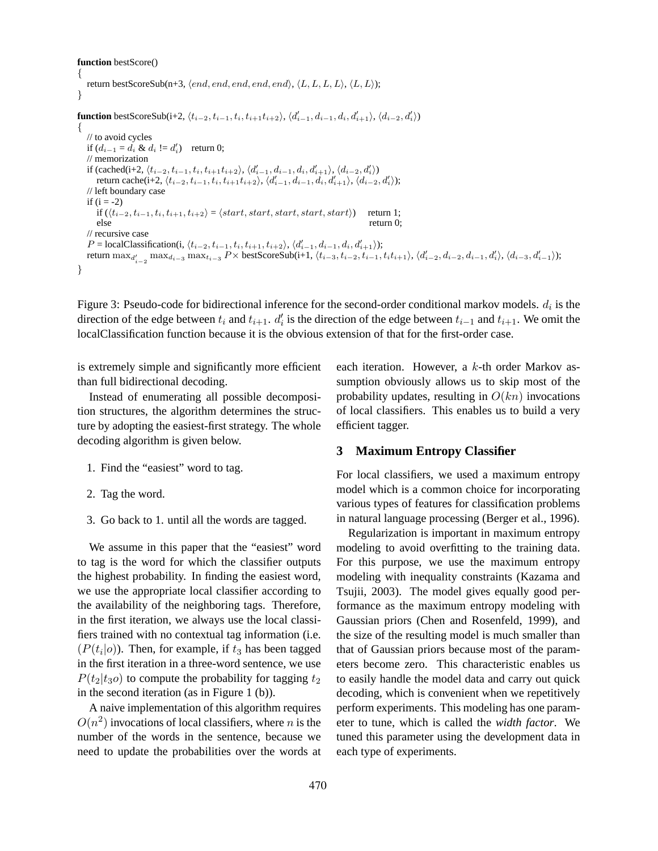#### **function** bestScore()

```
{
   return bestScoreSub(n+3, \langle end, end, end, end, end \rangle, \langle L, L, L, L \rangle, \langle L, L \rangle);
}
function bestScoreSub(i+2, \langle t_{i-2}, t_{i-1}, t_i, t_{i+1}t_{i+2} \rangle, \langle d'_{i-1}, d_{i-1}, d_i, d'_{i+1} \rangle, \langle d_{i-2}, d'_{i} \rangle)
{
   // to avoid cycles
    if (d_{i-1} = d_i \& d_i != d'_i) return 0;
   // memorization
    if (cached(i+2, \langle t_{i-2}, t_{i-1}, t_i, t_{i+1}t_{i+2} \rangle, \langle d'_{i-1}, d_{i-1}, d_i, d'_{i+1} \rangle, \langle d_{i-2}, d'_i \rangle)
        return cache(i+2, \langle t_{i-2}, t_{i-1}, t_i, t_{i+1}t_{i+2} \rangle, \langle d'_{i-1}, d_{i-1}, d_i, d'_{i+1} \rangle, \langle d_{i-2}, d'_{i} \rangle);
   // left boundary case
   if (i = -2)if (\langle t_{i-2}, t_{i-1}, t_i, t_{i+1}, t_{i+2} \rangle = \langle start, start, start, start, start \rangle) return 1;
        else return 0;
   // recursive case
    P = local Classification(i, \langle t_{i-2}, t_{i-1}, t_i, t_{i+1}, t_{i+2} \rangle, \langle d'_{i-1}, d_{i-1}, d_i, d'_{i+1} \rangle);return \max_{d'_{i-2}} \max_{d_{i-3}} \max_{t_{i-3}} P \times \text{bestScoreSub}(i+1, \langle t_{i-3}, t_{i-2}, t_{i-1}, t_i t_{i+1} \rangle, \langle d'_{i-2}, d_{i-2}, d_{i-1}, d'_{i} \rangle, \langle d_{i-3}, d'_{i-1} \rangle);}
```
Figure 3: Pseudo-code for bidirectional inference for the second-order conditional markov models.  $d_i$  is the direction of the edge between  $t_i$  and  $t_{i+1}$ .  $d_i'$  $i_i$  is the direction of the edge between  $t_{i-1}$  and  $t_{i+1}$ . We omit the localClassification function because it is the obvious extension of that for the first-order case.

is extremely simple and significantly more efficient than full bidirectional decoding.

Instead of enumerating all possible decomposition structures, the algorithm determines the structure by adopting the easiest-first strategy. The whole decoding algorithm is given below.

- 1. Find the "easiest" word to tag.
- 2. Tag the word.
- 3. Go back to 1. until all the words are tagged.

We assume in this paper that the "easiest" word to tag is the word for which the classifier outputs the highest probability. In finding the easiest word, we use the appropriate local classifier according to the availability of the neighboring tags. Therefore, in the first iteration, we always use the local classifiers trained with no contextual tag information (i.e.  $(P(t_i|o))$ . Then, for example, if  $t_3$  has been tagged in the first iteration in a three-word sentence, we use  $P(t_2|t_3\rho)$  to compute the probability for tagging  $t_2$ in the second iteration (as in Figure 1 (b)).

A naive implementation of this algorithm requires  $O(n^2)$  invocations of local classifiers, where n is the number of the words in the sentence, because we need to update the probabilities over the words at each iteration. However, a k-th order Markov assumption obviously allows us to skip most of the probability updates, resulting in  $O(kn)$  invocations of local classifiers. This enables us to build a very efficient tagger.

#### **3 Maximum Entropy Classifier**

For local classifiers, we used a maximum entropy model which is a common choice for incorporating various types of features for classification problems in natural language processing (Berger et al., 1996).

Regularization is important in maximum entropy modeling to avoid overfitting to the training data. For this purpose, we use the maximum entropy modeling with inequality constraints (Kazama and Tsujii, 2003). The model gives equally good performance as the maximum entropy modeling with Gaussian priors (Chen and Rosenfeld, 1999), and the size of the resulting model is much smaller than that of Gaussian priors because most of the parameters become zero. This characteristic enables us to easily handle the model data and carry out quick decoding, which is convenient when we repetitively perform experiments. This modeling has one parameter to tune, which is called the *width factor*. We tuned this parameter using the development data in each type of experiments.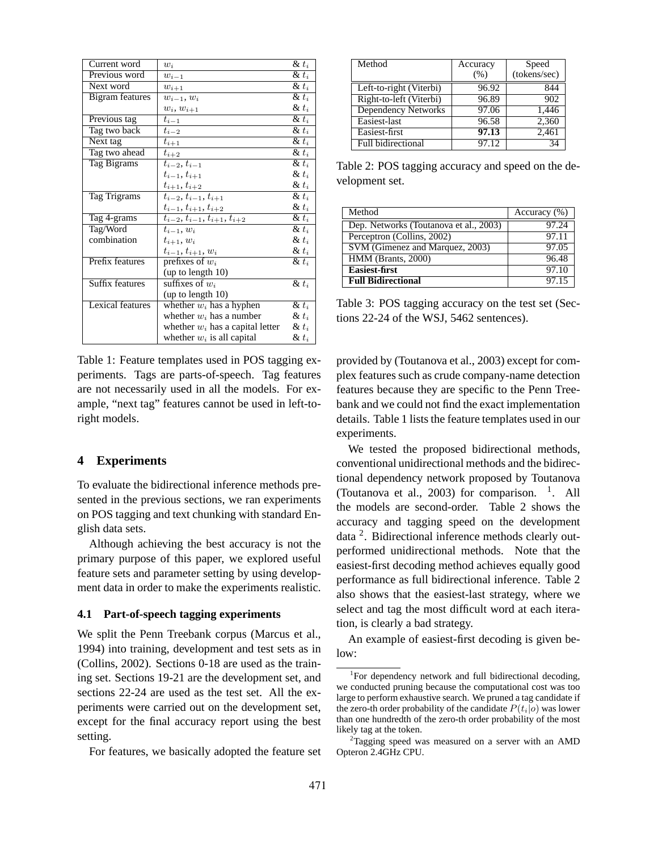| Current word     | $w_i$                                | $\& t_i$            |
|------------------|--------------------------------------|---------------------|
| Previous word    | $\boldsymbol{w}_{i-1}$               | $\overline{\& t_i}$ |
| Next word        | $w_{i+1}$                            | $\& t_i$            |
| Bigram features  | $w_{i-1}, w_i$                       | $\& t_i$            |
|                  | $w_i, w_{i+1}$                       | $\& t_i$            |
| Previous tag     | $t_{i-1}$                            | $\& t_i$            |
| Tag two back     | $t_{i-2}$                            | $\& t_i$            |
| Next tag         | $t_{i+1}$                            | $\& t_i$            |
| Tag two ahead    | $t_{i+2}$                            | $\& t_i$            |
| Tag Bigrams      | $t_{i-2}, t_{i-1}$                   | $\& t_i$            |
|                  | $t_{i-1}, t_{i+1}$                   | $\& t_i$            |
|                  | $t_{i+1}, t_{i+2}$                   | $\& t_i$            |
| Tag Trigrams     | $t_{i-2}, t_{i-1}, t_{i+1}$          | $\& t_i$            |
|                  | $t_{i-1}, t_{i+1}, t_{i+2}$          | $\& t_i$            |
| Tag 4-grams      | $t_{i-2}, t_{i-1}, t_{i+1}, t_{i+2}$ | $\& t_i$            |
| Tag/Word         | $t_{i-1}, w_i$                       | $\& t_i$            |
| combination      | $t_{i+1}, w_i$                       | $\& t_i$            |
|                  | $t_{i-1}, t_{i+1}, w_i$              | $\& t_i$            |
| Prefix features  | prefixes of $w_i$                    | $\& t_i$            |
|                  | (up to length 10)                    |                     |
| Suffix features  | suffixes of $w_i$                    | $\& t_i$            |
|                  | (up to length 10)                    |                     |
| Lexical features | whether $w_i$ has a hyphen           | $\& t_i$            |
|                  | whether $w_i$ has a number           | $\& t_i$            |
|                  | whether $w_i$ has a capital letter   | $\& t_i$            |
|                  | whether $w_i$ is all capital         | $\& t_i$            |

Table 1: Feature templates used in POS tagging experiments. Tags are parts-of-speech. Tag features are not necessarily used in all the models. For example, "next tag" features cannot be used in left-toright models.

## **4 Experiments**

To evaluate the bidirectional inference methods presented in the previous sections, we ran experiments on POS tagging and text chunking with standard English data sets.

Although achieving the best accuracy is not the primary purpose of this paper, we explored useful feature sets and parameter setting by using development data in order to make the experiments realistic.

#### **4.1 Part-of-speech tagging experiments**

We split the Penn Treebank corpus (Marcus et al., 1994) into training, development and test sets as in (Collins, 2002). Sections 0-18 are used as the training set. Sections 19-21 are the development set, and sections 22-24 are used as the test set. All the experiments were carried out on the development set, except for the final accuracy report using the best setting.

For features, we basically adopted the feature set

| Method                     | Accuracy | Speed        |
|----------------------------|----------|--------------|
|                            | (%)      | (tokens/sec) |
| Left-to-right (Viterbi)    | 96.92    | 844          |
| Right-to-left (Viterbi)    | 96.89    | 902          |
| <b>Dependency Networks</b> | 97.06    | 1,446        |
| Easiest-last               | 96.58    | 2,360        |
| Easiest-first              | 97.13    | 2,461        |
| <b>Full bidirectional</b>  | 97.12    | 34           |

Table 2: POS tagging accuracy and speed on the development set.

| Method                                 | Accuracy $(\% )$ |
|----------------------------------------|------------------|
| Dep. Networks (Toutanova et al., 2003) | 97.24            |
| Perceptron (Collins, 2002)             | 97.11            |
| SVM (Gimenez and Marquez, 2003)        | 97.05            |
| HMM (Brants, 2000)                     | 96.48            |
| <b>Easiest-first</b>                   | 97.10            |
| <b>Full Bidirectional</b>              | 97.15            |

Table 3: POS tagging accuracy on the test set (Sections 22-24 of the WSJ, 5462 sentences).

provided by (Toutanova et al., 2003) except for complex features such as crude company-name detection features because they are specific to the Penn Treebank and we could not find the exact implementation details. Table 1 lists the feature templates used in our experiments.

We tested the proposed bidirectional methods, conventional unidirectional methods and the bidirectional dependency network proposed by Toutanova (Toutanova et al., 2003) for comparison.  $\,$ <sup>1</sup>. All the models are second-order. Table 2 shows the accuracy and tagging speed on the development data<sup>2</sup>. Bidirectional inference methods clearly outperformed unidirectional methods. Note that the easiest-first decoding method achieves equally good performance as full bidirectional inference. Table 2 also shows that the easiest-last strategy, where we select and tag the most difficult word at each iteration, is clearly a bad strategy.

An example of easiest-first decoding is given below:

<sup>&</sup>lt;sup>1</sup>For dependency network and full bidirectional decoding, we conducted pruning because the computational cost was too large to perform exhaustive search. We pruned a tag candidate if the zero-th order probability of the candidate  $P(t_i|o)$  was lower than one hundredth of the zero-th order probability of the most likely tag at the token.

<sup>&</sup>lt;sup>2</sup>Tagging speed was measured on a server with an AMD Opteron 2.4GHz CPU.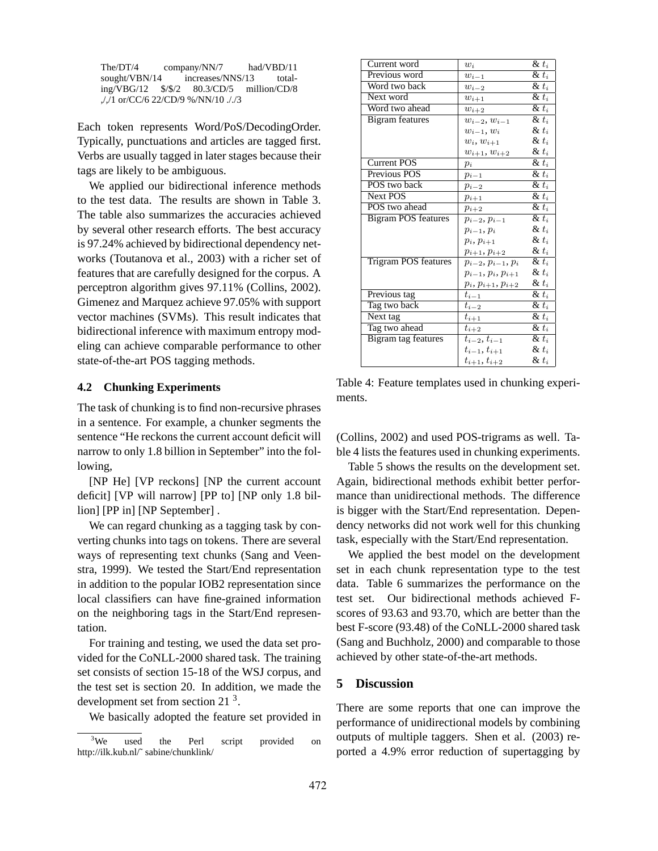| The/DT/4                           | $\text{company/NN/7}$               | had/VBD/11 |  |
|------------------------------------|-------------------------------------|------------|--|
| sought/VBN/14                      | increases/NNS/13                    | total-     |  |
| ing/VBG/12 $\frac{\frac{5}{2}}{2}$ | $80.3$ /CD/5 million/CD/8           |            |  |
|                                    | $1/1$ or/CC/6 22/CD/9 %/NN/10 $1/3$ |            |  |

Each token represents Word/PoS/DecodingOrder. Typically, punctuations and articles are tagged first. Verbs are usually tagged in later stages because their tags are likely to be ambiguous.

We applied our bidirectional inference methods to the test data. The results are shown in Table 3. The table also summarizes the accuracies achieved by several other research efforts. The best accuracy is 97.24% achieved by bidirectional dependency networks (Toutanova et al., 2003) with a richer set of features that are carefully designed for the corpus. A perceptron algorithm gives 97.11% (Collins, 2002). Gimenez and Marquez achieve 97.05% with support vector machines (SVMs). This result indicates that bidirectional inference with maximum entropy modeling can achieve comparable performance to other state-of-the-art POS tagging methods.

#### **4.2 Chunking Experiments**

The task of chunking is to find non-recursive phrases in a sentence. For example, a chunker segments the sentence "He reckons the current account deficit will narrow to only 1.8 billion in September" into the following,

[NP He] [VP reckons] [NP the current account deficit] [VP will narrow] [PP to] [NP only 1.8 billion] [PP in] [NP September] .

We can regard chunking as a tagging task by converting chunks into tags on tokens. There are several ways of representing text chunks (Sang and Veenstra, 1999). We tested the Start/End representation in addition to the popular IOB2 representation since local classifiers can have fine-grained information on the neighboring tags in the Start/End representation.

For training and testing, we used the data set provided for the CoNLL-2000 shared task. The training set consists of section 15-18 of the WSJ corpus, and the test set is section 20. In addition, we made the development set from section 21 $3$ .

We basically adopted the feature set provided in

| Current word               | $w_i$                               | $\& t_i$             |
|----------------------------|-------------------------------------|----------------------|
| Previous word              | $w_{i-1}$                           | $\overline{\&}~t_i$  |
| Word two back              | $w_{i-2}$                           | $\& t_i$             |
| Next word                  | $w_{i+1}$                           | $\overline{\& t_i}$  |
| Word two ahead             | $w_{i+2}$                           | $\& t_i$             |
| <b>Bigram</b> features     | $w_{i-2}, w_{i-1}$                  | $\& t_i$             |
|                            | $w_{i-1}, w_i$                      | $\& t_i$             |
|                            | $w_i, w_{i+1}$                      | $\& t_i$             |
|                            | $w_{i+1}, w_{i+2}$                  | $\& t_i$             |
| <b>Current POS</b>         | $p_i$                               | $\& t_i$             |
| Previous POS               | $p_{i-1}$                           | $\& t_i$             |
| POS two back               | $p_{i-2}$                           | $\& t_i$             |
| Next POS                   | $p_{i+1}$                           | $\& t_i$             |
| POS two ahead              | $p_{i+2}$                           | $\& t_i$             |
| <b>Bigram POS features</b> | $p_{i-2}, p_{i-1}$                  | $\& t_i$             |
|                            | $p_{i-1}, p_i$                      | $\& t_i$             |
|                            | $p_i, p_{i+1}$                      | $\& t_i$             |
|                            | $p_{i+1}, p_{i+2}$                  | $\& t_i$             |
| Trigram POS features       | $p_{i-2}, p_{i-1}, p_i$             | $\& t_i$             |
|                            | $p_{i-1}, p_i, p_{i+1}$             | $\& t_i$             |
|                            | $p_i, \underline{p_{i+1}}, p_{i+2}$ | $\& t_i$             |
| Previous tag               | $t_{i-1}$                           | $\& t_i$             |
| Tag two back               | $t_{i-2}$                           | $\overline{\&}~t_i$  |
| Next tag                   | $t_{i+1}$                           | $\& t_i$             |
| Tag two ahead              | $t_{i+2}$                           | $\overline{\&}~ t_i$ |
| Bigram tag features        | $t_{i-2}, t_{i-1}$                  | $\& t_i$             |
|                            | $t_{i-1}, t_{i+1}$                  | $\& t_i$             |
|                            | $t_{i+1}, t_{i+2}$                  | $\& t_i$             |

Table 4: Feature templates used in chunking experiments.

(Collins, 2002) and used POS-trigrams as well. Table 4 lists the features used in chunking experiments.

Table 5 shows the results on the development set. Again, bidirectional methods exhibit better performance than unidirectional methods. The difference is bigger with the Start/End representation. Dependency networks did not work well for this chunking task, especially with the Start/End representation.

We applied the best model on the development set in each chunk representation type to the test data. Table 6 summarizes the performance on the test set. Our bidirectional methods achieved Fscores of 93.63 and 93.70, which are better than the best F-score (93.48) of the CoNLL-2000 shared task (Sang and Buchholz, 2000) and comparable to those achieved by other state-of-the-art methods.

#### **5 Discussion**

There are some reports that one can improve the performance of unidirectional models by combining outputs of multiple taggers. Shen et al. (2003) reported a 4.9% error reduction of supertagging by

<sup>&</sup>lt;sup>3</sup>We used the Perl script provided on http://ilk.kub.nl/˜ sabine/chunklink/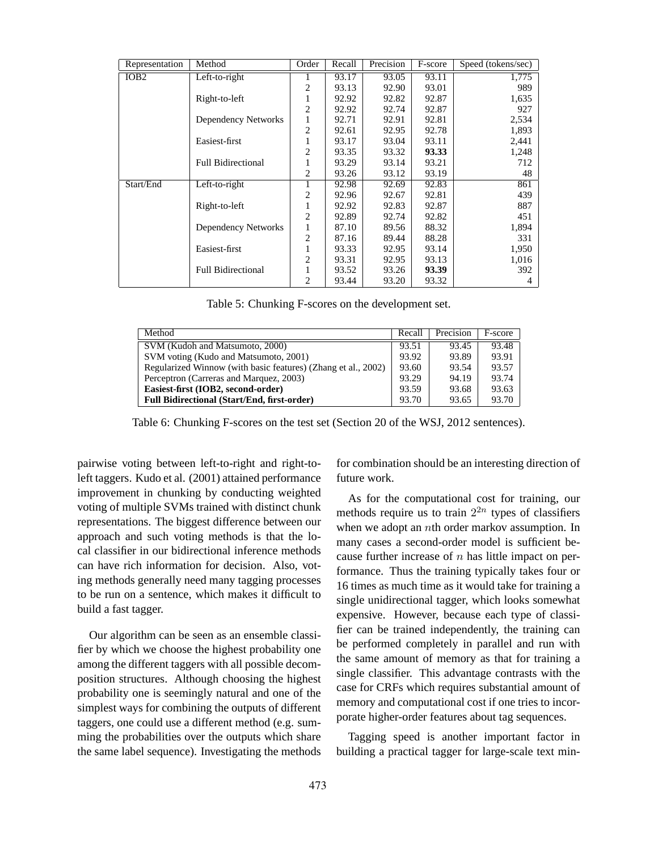| Representation   | Method                     | Order          | Recall | Precision | F-score | Speed (tokens/sec) |
|------------------|----------------------------|----------------|--------|-----------|---------|--------------------|
| IOB <sub>2</sub> | Left-to-right              |                | 93.17  | 93.05     | 93.11   | 1,775              |
|                  |                            | 2              | 93.13  | 92.90     | 93.01   | 989                |
|                  | Right-to-left              | 1              | 92.92  | 92.82     | 92.87   | 1,635              |
|                  |                            | $\overline{2}$ | 92.92  | 92.74     | 92.87   | 927                |
|                  | <b>Dependency Networks</b> | 1              | 92.71  | 92.91     | 92.81   | 2,534              |
|                  |                            | $\overline{2}$ | 92.61  | 92.95     | 92.78   | 1,893              |
|                  | Easiest-first              | $\mathbf{1}$   | 93.17  | 93.04     | 93.11   | 2,441              |
|                  |                            | $\overline{2}$ | 93.35  | 93.32     | 93.33   | 1,248              |
|                  | <b>Full Bidirectional</b>  | 1              | 93.29  | 93.14     | 93.21   | 712                |
|                  |                            | 2              | 93.26  | 93.12     | 93.19   | 48                 |
| Start/End        | Left-to-right              |                | 92.98  | 92.69     | 92.83   | 861                |
|                  |                            | 2              | 92.96  | 92.67     | 92.81   | 439                |
|                  | Right-to-left              | 1              | 92.92  | 92.83     | 92.87   | 887                |
|                  |                            | $\overline{2}$ | 92.89  | 92.74     | 92.82   | 451                |
|                  | <b>Dependency Networks</b> | 1              | 87.10  | 89.56     | 88.32   | 1,894              |
|                  |                            | 2              | 87.16  | 89.44     | 88.28   | 331                |
|                  | Easiest-first              | 1              | 93.33  | 92.95     | 93.14   | 1,950              |
|                  |                            | 2              | 93.31  | 92.95     | 93.13   | 1,016              |
|                  | <b>Full Bidirectional</b>  | 1              | 93.52  | 93.26     | 93.39   | 392                |
|                  |                            | 2              | 93.44  | 93.20     | 93.32   | 4                  |

Table 5: Chunking F-scores on the development set.

| Method                                                        | Recall | Precision | F-score |
|---------------------------------------------------------------|--------|-----------|---------|
| SVM (Kudoh and Matsumoto, 2000)                               | 93.51  | 93.45     | 93.48   |
| SVM voting (Kudo and Matsumoto, 2001)                         | 93.92  | 93.89     | 93.91   |
| Regularized Winnow (with basic features) (Zhang et al., 2002) | 93.60  | 93.54     | 93.57   |
| Perceptron (Carreras and Marquez, 2003)                       | 93.29  | 94.19     | 93.74   |
| Easiest-first (IOB2, second-order)                            | 93.59  | 93.68     | 93.63   |
| <b>Full Bidirectional (Start/End, first-order)</b>            | 93.70  | 93.65     | 93.70   |

Table 6: Chunking F-scores on the test set (Section 20 of the WSJ, 2012 sentences).

pairwise voting between left-to-right and right-toleft taggers. Kudo et al. (2001) attained performance improvement in chunking by conducting weighted voting of multiple SVMs trained with distinct chunk representations. The biggest difference between our approach and such voting methods is that the local classifier in our bidirectional inference methods can have rich information for decision. Also, voting methods generally need many tagging processes to be run on a sentence, which makes it difficult to build a fast tagger.

Our algorithm can be seen as an ensemble classifier by which we choose the highest probability one among the different taggers with all possible decomposition structures. Although choosing the highest probability one is seemingly natural and one of the simplest ways for combining the outputs of different taggers, one could use a different method (e.g. summing the probabilities over the outputs which share the same label sequence). Investigating the methods

for combination should be an interesting direction of future work.

As for the computational cost for training, our methods require us to train  $2^{2n}$  types of classifiers when we adopt an *n*th order markov assumption. In many cases a second-order model is sufficient because further increase of  $n$  has little impact on performance. Thus the training typically takes four or 16 times as much time as it would take for training a single unidirectional tagger, which looks somewhat expensive. However, because each type of classifier can be trained independently, the training can be performed completely in parallel and run with the same amount of memory as that for training a single classifier. This advantage contrasts with the case for CRFs which requires substantial amount of memory and computational cost if one tries to incorporate higher-order features about tag sequences.

Tagging speed is another important factor in building a practical tagger for large-scale text min